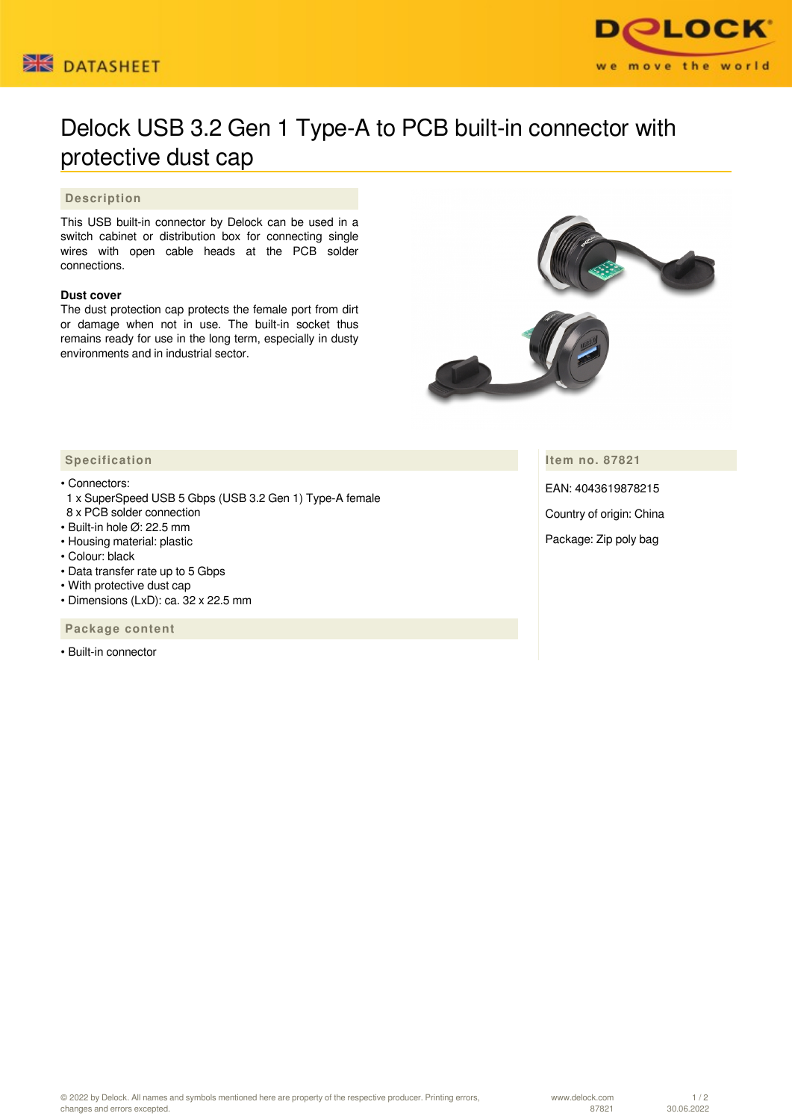



## Delock USB 3.2 Gen 1 Type-A to PCB built-in connector with protective dust cap

## **Description**

This USB built-in connector by Delock can be used in a switch cabinet or distribution box for connecting single wires with open cable heads at the PCB solder connections.

## **Dust cover**

The dust protection cap protects the female port from dirt or damage when not in use. The built-in socket thus remains ready for use in the long term, especially in dusty environments and in industrial sector.



**Item no. 87821**

EAN: 4043619878215

Country of origin: China

Package: Zip poly bag

## **Specification**

• Connectors:

- 1 x SuperSpeed USB 5 Gbps (USB 3.2 Gen 1) Type-A female 8 x PCB solder connection
- Built-in hole Ø: 22.5 mm
- Housing material: plastic
- Colour: black
- Data transfer rate up to 5 Gbps
- With protective dust cap
- Dimensions (LxD): ca. 32 x 22.5 mm

 **Package content**

• Built-in connector